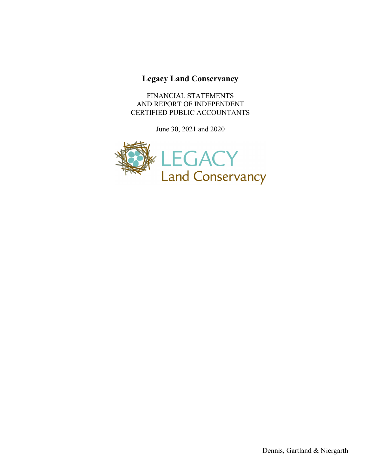FINANCIAL STATEMENTS AND REPORT OF INDEPENDENT CERTIFIED PUBLIC ACCOUNTANTS

June 30, 2021 and 2020

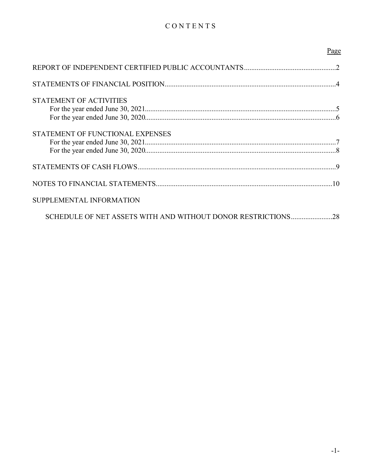# CONTENTS

|                                                              | Page |
|--------------------------------------------------------------|------|
|                                                              |      |
|                                                              |      |
| <b>STATEMENT OF ACTIVITIES</b>                               |      |
|                                                              |      |
|                                                              |      |
| STATEMENT OF FUNCTIONAL EXPENSES                             |      |
|                                                              |      |
|                                                              |      |
|                                                              |      |
|                                                              |      |
| SUPPLEMENTAL INFORMATION                                     |      |
| SCHEDULE OF NET ASSETS WITH AND WITHOUT DONOR RESTRICTIONS28 |      |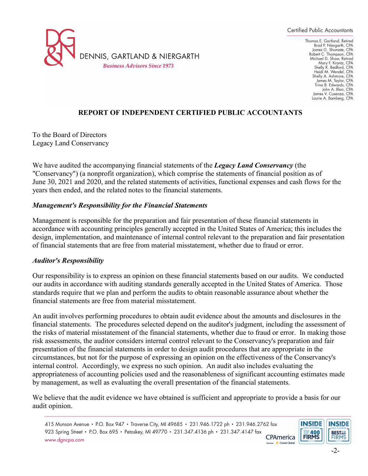

Thomas E. Gartland, Retired Brad P. Niergarth, CPA<br>James G. Shumate, CPA Robert C. Thompson, CPA Michael D. Shaw, Retired Mary F. Krantz, CPA<br>Shelly K. Bedford, CPA Heidi M. Wendel, CPA Shelly A. Ashmore, CPA James M. Taylor, CPA Trina B. Edwards, CPA<br>John A. Blair, CPA James V. Cusenza, CPA Laurie A. Bamberg, CPA

## **REPORT OF INDEPENDENT CERTIFIED PUBLIC ACCOUNTANTS**

To the Board of Directors Legacy Land Conservancy

We have audited the accompanying financial statements of the *Legacy Land Conservancy* (the "Conservancy") (a nonprofit organization), which comprise the statements of financial position as of June 30, 2021 and 2020, and the related statements of activities, functional expenses and cash flows for the years then ended, and the related notes to the financial statements.

### *Management's Responsibility for the Financial Statements*

Management is responsible for the preparation and fair presentation of these financial statements in accordance with accounting principles generally accepted in the United States of America; this includes the design, implementation, and maintenance of internal control relevant to the preparation and fair presentation of financial statements that are free from material misstatement, whether due to fraud or error.

## *Auditor's Responsibility*

Our responsibility is to express an opinion on these financial statements based on our audits. We conducted our audits in accordance with auditing standards generally accepted in the United States of America. Those standards require that we plan and perform the audits to obtain reasonable assurance about whether the financial statements are free from material misstatement.

An audit involves performing procedures to obtain audit evidence about the amounts and disclosures in the financial statements. The procedures selected depend on the auditor's judgment, including the assessment of the risks of material misstatement of the financial statements, whether due to fraud or error. In making those risk assessments, the auditor considers internal control relevant to the Conservancy's preparation and fair presentation of the financial statements in order to design audit procedures that are appropriate in the circumstances, but not for the purpose of expressing an opinion on the effectiveness of the Conservancy's internal control. Accordingly, we express no such opinion. An audit also includes evaluating the appropriateness of accounting policies used and the reasonableness of significant accounting estimates made by management, as well as evaluating the overall presentation of the financial statements.

We believe that the audit evidence we have obtained is sufficient and appropriate to provide a basis for our audit opinion.

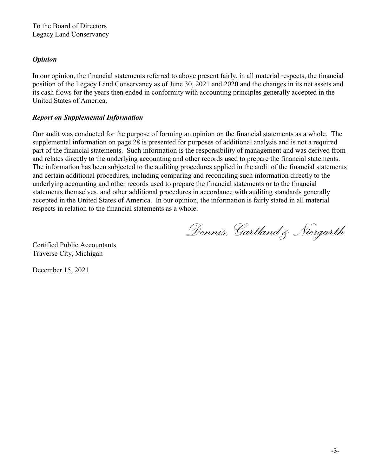## *Opinion*

In our opinion, the financial statements referred to above present fairly, in all material respects, the financial position of the Legacy Land Conservancy as of June 30, 2021 and 2020 and the changes in its net assets and its cash flows for the years then ended in conformity with accounting principles generally accepted in the United States of America.

## *Report on Supplemental Information*

Our audit was conducted for the purpose of forming an opinion on the financial statements as a whole. The supplemental information on page 28 is presented for purposes of additional analysis and is not a required part of the financial statements. Such information is the responsibility of management and was derived from and relates directly to the underlying accounting and other records used to prepare the financial statements. The information has been subjected to the auditing procedures applied in the audit of the financial statements and certain additional procedures, including comparing and reconciling such information directly to the underlying accounting and other records used to prepare the financial statements or to the financial statements themselves, and other additional procedures in accordance with auditing standards generally accepted in the United States of America. In our opinion, the information is fairly stated in all material respects in relation to the financial statements as a whole.

*Dennis, Gartland & Niergarth* 

Certified Public Accountants Traverse City, Michigan

December 15, 2021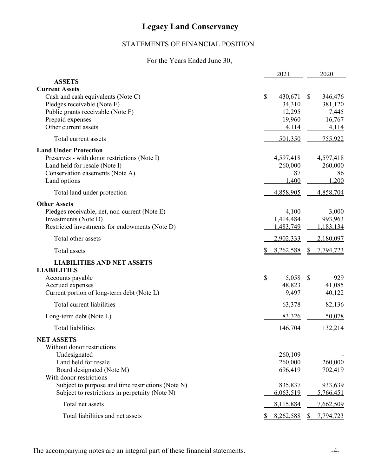# STATEMENTS OF FINANCIAL POSITION

# For the Years Ended June 30,

|                                                   | 2021           |               | 2020      |
|---------------------------------------------------|----------------|---------------|-----------|
| <b>ASSETS</b>                                     |                |               |           |
| <b>Current Assets</b>                             |                |               |           |
| Cash and cash equivalents (Note C)                | \$<br>430,671  | $\mathbb{S}$  | 346,476   |
| Pledges receivable (Note E)                       | 34,310         |               | 381,120   |
| Public grants receivable (Note F)                 | 12,295         |               | 7,445     |
| Prepaid expenses                                  | 19,960         |               | 16,767    |
| Other current assets                              | 4,114          |               | 4,114     |
| Total current assets                              | 501,350        |               | 755,922   |
| <b>Land Under Protection</b>                      |                |               |           |
| Preserves - with donor restrictions (Note I)      | 4,597,418      |               | 4,597,418 |
| Land held for resale (Note I)                     | 260,000        |               | 260,000   |
| Conservation easements (Note A)                   | 87             |               | 86        |
| Land options                                      | 1,400          |               | 1,200     |
| Total land under protection                       | 4,858,905      |               | 4,858,704 |
| <b>Other Assets</b>                               |                |               |           |
| Pledges receivable, net, non-current (Note E)     | 4,100          |               | 3,000     |
| Investments (Note D)                              | 1,414,484      |               | 993,963   |
| Restricted investments for endowments (Note D)    | 1,483,749      |               | 1,183,134 |
| Total other assets                                | 2,902,333      |               | 2,180,097 |
| Total assets                                      | 8,262,588      |               | 7,794,723 |
| <b>LIABILITIES AND NET ASSETS</b>                 |                |               |           |
| <b>LIABILITIES</b>                                |                |               |           |
| Accounts payable                                  | \$<br>5,058    | $\mathcal{S}$ | 929       |
| Accrued expenses                                  | 48,823         |               | 41,085    |
| Current portion of long-term debt (Note L)        | 9,497          |               | 40,122    |
| Total current liabilities                         | 63,378         |               | 82,136    |
| Long-term debt (Note L)                           | 83,326         |               | 50,078    |
|                                                   |                |               |           |
| <b>Total liabilities</b>                          | <u>146,704</u> |               | 132,214   |
| <b>NET ASSETS</b>                                 |                |               |           |
| Without donor restrictions                        |                |               |           |
| Undesignated                                      | 260,109        |               |           |
| Land held for resale                              | 260,000        |               | 260,000   |
| Board designated (Note M)                         | 696,419        |               | 702,419   |
| With donor restrictions                           |                |               |           |
| Subject to purpose and time restrictions (Note N) | 835,837        |               | 933,639   |
| Subject to restrictions in perpetuity (Note N)    | 6,063,519      |               | 5,766,451 |
| Total net assets                                  | 8,115,884      |               | 7,662,509 |
| Total liabilities and net assets                  | 8,262,588      |               | 7,794,723 |

The accompanying notes are an integral part of these financial statements. -4-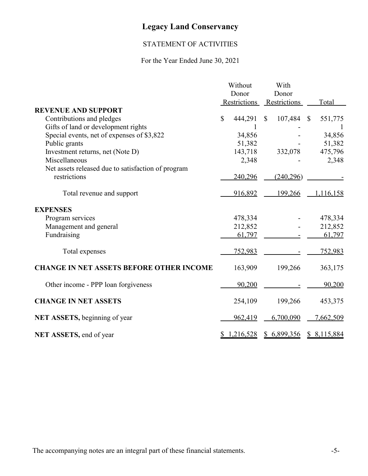# STATEMENT OF ACTIVITIES

# For the Year Ended June 30, 2021

|                                                    | Without       | With          |                         |
|----------------------------------------------------|---------------|---------------|-------------------------|
|                                                    | Donor         | Donor         |                         |
|                                                    | Restrictions  | Restrictions  | Total                   |
| <b>REVENUE AND SUPPORT</b>                         |               |               |                         |
| Contributions and pledges                          | \$<br>444,291 | 107,484<br>\$ | $\mathbb{S}$<br>551,775 |
| Gifts of land or development rights                | 1             |               |                         |
| Special events, net of expenses of \$3,822         | 34,856        |               | 34,856                  |
| Public grants                                      | 51,382        |               | 51,382                  |
| Investment returns, net (Note D)                   | 143,718       | 332,078       | 475,796                 |
| Miscellaneous                                      | 2,348         |               | 2,348                   |
| Net assets released due to satisfaction of program |               |               |                         |
| restrictions                                       | 240,296       | (240,296)     |                         |
| Total revenue and support                          | 916,892       | 199,266       | 1,116,158               |
| <b>EXPENSES</b>                                    |               |               |                         |
| Program services                                   | 478,334       |               | 478,334                 |
| Management and general                             | 212,852       |               | 212,852                 |
| Fundraising                                        | 61,797        |               | 61,797                  |
|                                                    |               |               |                         |
| Total expenses                                     | 752,983       |               | 752,983                 |
| <b>CHANGE IN NET ASSETS BEFORE OTHER INCOME</b>    | 163,909       | 199,266       | 363,175                 |
| Other income - PPP loan forgiveness                | 90,200        |               | 90,200                  |
| <b>CHANGE IN NET ASSETS</b>                        | 254,109       | 199,266       | 453,375                 |
| NET ASSETS, beginning of year                      | 962,419       | 6,700,090     | 7,662,509               |
| NET ASSETS, end of year                            | 1,216,528     | \$6,899,356   | \$8,115,884             |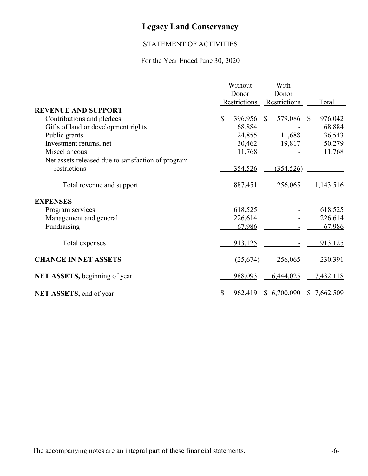# STATEMENT OF ACTIVITIES

# For the Year Ended June 30, 2020

|                                                    |              | Without             |              | With         |               |           |
|----------------------------------------------------|--------------|---------------------|--------------|--------------|---------------|-----------|
|                                                    |              | Donor               |              | Donor        |               |           |
|                                                    |              | <b>Restrictions</b> |              | Restrictions |               | Total     |
| <b>REVENUE AND SUPPORT</b>                         |              |                     |              |              |               |           |
| Contributions and pledges                          | $\mathbb{S}$ | 396,956             | $\mathbb{S}$ | 579,086      | <sup>\$</sup> | 976,042   |
| Gifts of land or development rights                |              | 68,884              |              |              |               | 68,884    |
| Public grants                                      |              | 24,855              |              | 11,688       |               | 36,543    |
| Investment returns, net                            |              | 30,462              |              | 19,817       |               | 50,279    |
| Miscellaneous                                      |              | 11,768              |              |              |               | 11,768    |
| Net assets released due to satisfaction of program |              |                     |              |              |               |           |
| restrictions                                       |              | 354,526             |              | (354, 526)   |               |           |
| Total revenue and support                          |              | 887,451             |              | 256,065      |               | 1,143,516 |
| <b>EXPENSES</b>                                    |              |                     |              |              |               |           |
| Program services                                   |              | 618,525             |              |              |               | 618,525   |
| Management and general                             |              | 226,614             |              |              |               | 226,614   |
| Fundraising                                        |              | 67,986              |              |              |               | 67,986    |
| Total expenses                                     |              | 913,125             |              |              |               | 913,125   |
| <b>CHANGE IN NET ASSETS</b>                        |              | (25, 674)           |              | 256,065      |               | 230,391   |
| NET ASSETS, beginning of year                      |              | 988,093             |              | 6,444,025    |               | 7,432,118 |
| NET ASSETS, end of year                            | \$           | 962,419             |              | \$6,700,090  | S.            | 7,662,509 |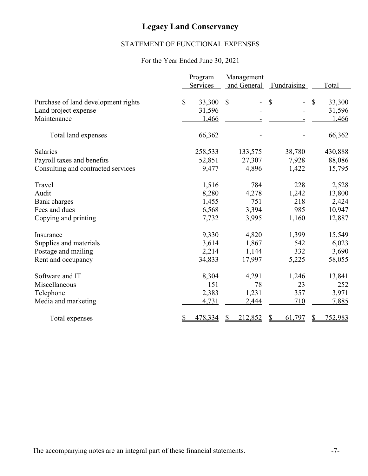# STATEMENT OF FUNCTIONAL EXPENSES

## For the Year Ended June 30, 2021

|                                     | Program<br>Services | Management<br>and General | Fundraising | Total        |
|-------------------------------------|---------------------|---------------------------|-------------|--------------|
|                                     |                     |                           |             |              |
| Purchase of land development rights | \$<br>33,300        | $\mathcal{S}$             | \$          | \$<br>33,300 |
| Land project expense                | 31,596              |                           |             | 31,596       |
| Maintenance                         | 1,466               |                           |             | 1,466        |
| Total land expenses                 | 66,362              |                           |             | 66,362       |
| <b>Salaries</b>                     | 258,533             | 133,575                   | 38,780      | 430,888      |
| Payroll taxes and benefits          | 52,851              | 27,307                    | 7,928       | 88,086       |
| Consulting and contracted services  | 9,477               | 4,896                     | 1,422       | 15,795       |
| Travel                              | 1,516               | 784                       | 228         | 2,528        |
| Audit                               | 8,280               | 4,278                     | 1,242       | 13,800       |
| Bank charges                        | 1,455               | 751                       | 218         | 2,424        |
| Fees and dues                       | 6,568               | 3,394                     | 985         | 10,947       |
| Copying and printing                | 7,732               | 3,995                     | 1,160       | 12,887       |
| Insurance                           | 9,330               | 4,820                     | 1,399       | 15,549       |
| Supplies and materials              | 3,614               | 1,867                     | 542         | 6,023        |
| Postage and mailing                 | 2,214               | 1,144                     | 332         | 3,690        |
| Rent and occupancy                  | 34,833              | 17,997                    | 5,225       | 58,055       |
| Software and IT                     | 8,304               | 4,291                     | 1,246       | 13,841       |
| Miscellaneous                       | 151                 | 78                        | 23          | 252          |
| Telephone                           | 2,383               | 1,231                     | 357         | 3,971        |
| Media and marketing                 | 4,731               | 2,444                     | 710         | 7,885        |
| Total expenses                      | 478,334             | 212,852                   | 61,797      | 752,983      |

The accompanying notes are an integral part of these financial statements. -7-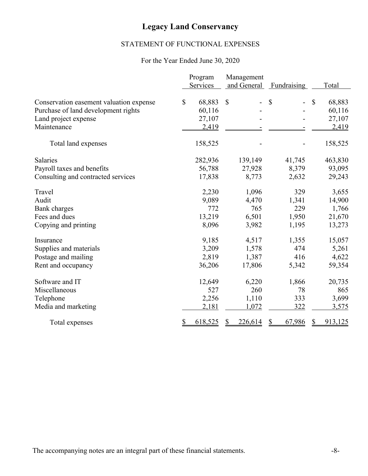# STATEMENT OF FUNCTIONAL EXPENSES

## For the Year Ended June 30, 2020

|                                         | Program      | Management  |                                |              |         |
|-----------------------------------------|--------------|-------------|--------------------------------|--------------|---------|
|                                         | Services     | and General | Fundraising                    |              | Total   |
|                                         |              |             |                                |              |         |
| Conservation easement valuation expense | \$<br>68,883 | \$<br>-     | $\mathbb{S}$<br>$\overline{a}$ | $\mathbb{S}$ | 68,883  |
| Purchase of land development rights     | 60,116       |             |                                |              | 60,116  |
| Land project expense                    | 27,107       |             |                                |              | 27,107  |
| Maintenance                             | 2,419        |             |                                |              | 2,419   |
| Total land expenses                     | 158,525      |             |                                |              | 158,525 |
| Salaries                                | 282,936      | 139,149     | 41,745                         |              | 463,830 |
| Payroll taxes and benefits              | 56,788       | 27,928      | 8,379                          |              | 93,095  |
| Consulting and contracted services      | 17,838       | 8,773       | 2,632                          |              | 29,243  |
| Travel                                  | 2,230        | 1,096       | 329                            |              | 3,655   |
| Audit                                   | 9,089        | 4,470       | 1,341                          |              | 14,900  |
| Bank charges                            | 772          | 765         | 229                            |              | 1,766   |
| Fees and dues                           | 13,219       | 6,501       | 1,950                          |              | 21,670  |
| Copying and printing                    | 8,096        | 3,982       | 1,195                          |              | 13,273  |
| Insurance                               | 9,185        | 4,517       | 1,355                          |              | 15,057  |
| Supplies and materials                  | 3,209        | 1,578       | 474                            |              | 5,261   |
| Postage and mailing                     | 2,819        | 1,387       | 416                            |              | 4,622   |
| Rent and occupancy                      | 36,206       | 17,806      | 5,342                          |              | 59,354  |
| Software and IT                         | 12,649       | 6,220       | 1,866                          |              | 20,735  |
| Miscellaneous                           | 527          | 260         | 78                             |              | 865     |
| Telephone                               | 2,256        | 1,110       | 333                            |              | 3,699   |
| Media and marketing                     | 2,181        | 1,072       | 322                            |              | 3,575   |
| Total expenses                          | 618,525      | 226,614     | 67,986<br>\$                   |              | 913,125 |

The accompanying notes are an integral part of these financial statements. -8-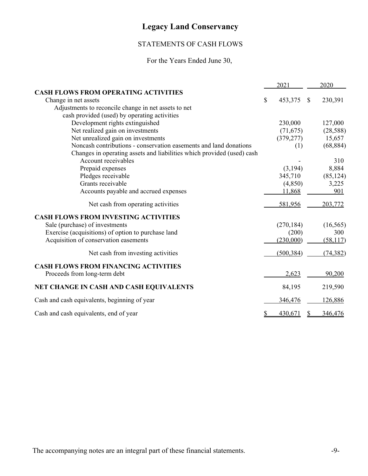# STATEMENTS OF CASH FLOWS

# For the Years Ended June 30,

|                                                                        | 2021          |               | 2020      |
|------------------------------------------------------------------------|---------------|---------------|-----------|
| <b>CASH FLOWS FROM OPERATING ACTIVITIES</b>                            |               |               |           |
| Change in net assets                                                   | \$<br>453,375 | <sup>\$</sup> | 230,391   |
| Adjustments to reconcile change in net assets to net                   |               |               |           |
| cash provided (used) by operating activities                           |               |               |           |
| Development rights extinguished                                        | 230,000       |               | 127,000   |
| Net realized gain on investments                                       | (71, 675)     |               | (28, 588) |
| Net unrealized gain on investments                                     | (379, 277)    |               | 15,657    |
| Noncash contributions - conservation easements and land donations      | (1)           |               | (68, 884) |
| Changes in operating assets and liabilities which provided (used) cash |               |               |           |
| Account receivables                                                    |               |               | 310       |
| Prepaid expenses                                                       | (3, 194)      |               | 8,884     |
| Pledges receivable                                                     | 345,710       |               | (85, 124) |
| Grants receivable                                                      | (4,850)       |               | 3,225     |
| Accounts payable and accrued expenses                                  | 11,868        |               | 901       |
| Net cash from operating activities                                     | 581,956       |               | 203,772   |
| <b>CASH FLOWS FROM INVESTING ACTIVITIES</b>                            |               |               |           |
| Sale (purchase) of investments                                         | (270, 184)    |               | (16, 565) |
| Exercise (acquisitions) of option to purchase land                     | (200)         |               | 300       |
| Acquisition of conservation easements                                  | (230,000)     |               | (58, 117) |
| Net cash from investing activities                                     | (500, 384)    |               | (74, 382) |
| <b>CASH FLOWS FROM FINANCING ACTIVITIES</b>                            |               |               |           |
| Proceeds from long-term debt                                           | 2,623         |               | 90,200    |
| NET CHANGE IN CASH AND CASH EQUIVALENTS                                | 84,195        |               | 219,590   |
| Cash and cash equivalents, beginning of year                           | 346,476       |               | 126,886   |
| Cash and cash equivalents, end of year                                 | \$<br>430,671 | S             | 346,476   |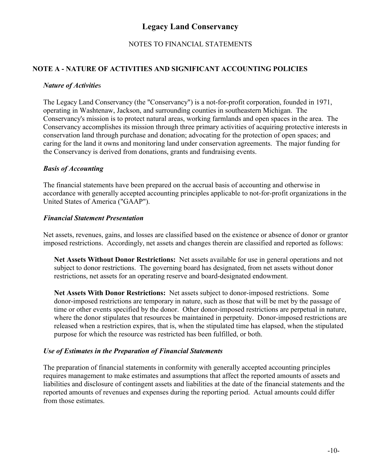## NOTES TO FINANCIAL STATEMENTS

### **NOTE A - NATURE OF ACTIVITIES AND SIGNIFICANT ACCOUNTING POLICIES**

#### *Nature of Activitie*s

The Legacy Land Conservancy (the "Conservancy") is a not-for-profit corporation, founded in 1971, operating in Washtenaw, Jackson, and surrounding counties in southeastern Michigan. The Conservancy's mission is to protect natural areas, working farmlands and open spaces in the area. The Conservancy accomplishes its mission through three primary activities of acquiring protective interests in conservation land through purchase and donation; advocating for the protection of open spaces; and caring for the land it owns and monitoring land under conservation agreements. The major funding for the Conservancy is derived from donations, grants and fundraising events.

#### *Basis of Accounting*

The financial statements have been prepared on the accrual basis of accounting and otherwise in accordance with generally accepted accounting principles applicable to not-for-profit organizations in the United States of America ("GAAP").

#### *Financial Statement Presentation*

Net assets, revenues, gains, and losses are classified based on the existence or absence of donor or grantor imposed restrictions. Accordingly, net assets and changes therein are classified and reported as follows:

**Net Assets Without Donor Restrictions:** Net assets available for use in general operations and not subject to donor restrictions. The governing board has designated, from net assets without donor restrictions, net assets for an operating reserve and board-designated endowment.

**Net Assets With Donor Restrictions:** Net assets subject to donor-imposed restrictions. Some donor-imposed restrictions are temporary in nature, such as those that will be met by the passage of time or other events specified by the donor. Other donor-imposed restrictions are perpetual in nature, where the donor stipulates that resources be maintained in perpetuity. Donor-imposed restrictions are released when a restriction expires, that is, when the stipulated time has elapsed, when the stipulated purpose for which the resource was restricted has been fulfilled, or both.

#### *Use of Estimates in the Preparation of Financial Statements*

The preparation of financial statements in conformity with generally accepted accounting principles requires management to make estimates and assumptions that affect the reported amounts of assets and liabilities and disclosure of contingent assets and liabilities at the date of the financial statements and the reported amounts of revenues and expenses during the reporting period. Actual amounts could differ from those estimates.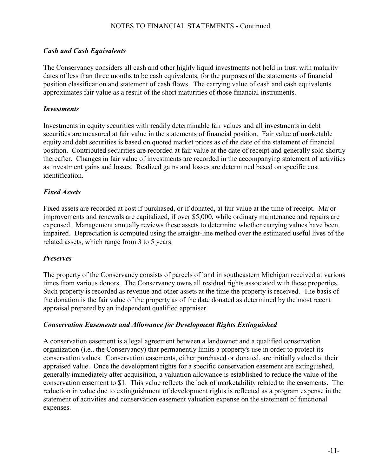### *Cash and Cash Equivalents*

The Conservancy considers all cash and other highly liquid investments not held in trust with maturity dates of less than three months to be cash equivalents, for the purposes of the statements of financial position classification and statement of cash flows. The carrying value of cash and cash equivalents approximates fair value as a result of the short maturities of those financial instruments.

#### *Investments*

Investments in equity securities with readily determinable fair values and all investments in debt securities are measured at fair value in the statements of financial position. Fair value of marketable equity and debt securities is based on quoted market prices as of the date of the statement of financial position. Contributed securities are recorded at fair value at the date of receipt and generally sold shortly thereafter. Changes in fair value of investments are recorded in the accompanying statement of activities as investment gains and losses. Realized gains and losses are determined based on specific cost identification.

### *Fixed Assets*

Fixed assets are recorded at cost if purchased, or if donated, at fair value at the time of receipt. Major improvements and renewals are capitalized, if over \$5,000, while ordinary maintenance and repairs are expensed. Management annually reviews these assets to determine whether carrying values have been impaired. Depreciation is computed using the straight-line method over the estimated useful lives of the related assets, which range from 3 to 5 years.

### *Preserves*

The property of the Conservancy consists of parcels of land in southeastern Michigan received at various times from various donors. The Conservancy owns all residual rights associated with these properties. Such property is recorded as revenue and other assets at the time the property is received. The basis of the donation is the fair value of the property as of the date donated as determined by the most recent appraisal prepared by an independent qualified appraiser.

### *Conservation Easements and Allowance for Development Rights Extinguished*

A conservation easement is a legal agreement between a landowner and a qualified conservation organization (i.e., the Conservancy) that permanently limits a property's use in order to protect its conservation values. Conservation easements, either purchased or donated, are initially valued at their appraised value. Once the development rights for a specific conservation easement are extinguished, generally immediately after acquisition, a valuation allowance is established to reduce the value of the conservation easement to \$1. This value reflects the lack of marketability related to the easements. The reduction in value due to extinguishment of development rights is reflected as a program expense in the statement of activities and conservation easement valuation expense on the statement of functional expenses.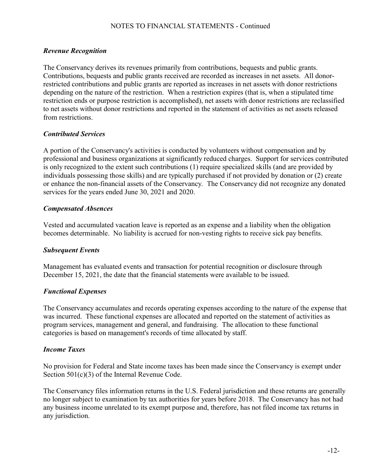### *Revenue Recognition*

The Conservancy derives its revenues primarily from contributions, bequests and public grants. Contributions, bequests and public grants received are recorded as increases in net assets. All donorrestricted contributions and public grants are reported as increases in net assets with donor restrictions depending on the nature of the restriction. When a restriction expires (that is, when a stipulated time restriction ends or purpose restriction is accomplished), net assets with donor restrictions are reclassified to net assets without donor restrictions and reported in the statement of activities as net assets released from restrictions.

### *Contributed Services*

A portion of the Conservancy's activities is conducted by volunteers without compensation and by professional and business organizations at significantly reduced charges. Support for services contributed is only recognized to the extent such contributions (1) require specialized skills (and are provided by individuals possessing those skills) and are typically purchased if not provided by donation or (2) create or enhance the non-financial assets of the Conservancy*.* The Conservancy did not recognize any donated services for the years ended June 30, 2021 and 2020.

### *Compensated Absences*

Vested and accumulated vacation leave is reported as an expense and a liability when the obligation becomes determinable. No liability is accrued for non-vesting rights to receive sick pay benefits.

### *Subsequent Events*

Management has evaluated events and transaction for potential recognition or disclosure through December 15, 2021, the date that the financial statements were available to be issued.

### *Functional Expenses*

The Conservancy accumulates and records operating expenses according to the nature of the expense that was incurred. These functional expenses are allocated and reported on the statement of activities as program services, management and general, and fundraising. The allocation to these functional categories is based on management's records of time allocated by staff.

### *Income Taxes*

No provision for Federal and State income taxes has been made since the Conservancy is exempt under Section 501(c)(3) of the Internal Revenue Code.

The Conservancy files information returns in the U.S. Federal jurisdiction and these returns are generally no longer subject to examination by tax authorities for years before 2018. The Conservancy has not had any business income unrelated to its exempt purpose and, therefore, has not filed income tax returns in any jurisdiction.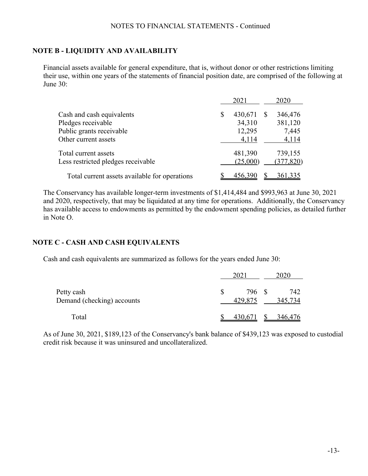### **NOTE B - LIQUIDITY AND AVAILABILITY**

Financial assets available for general expenditure, that is, without donor or other restrictions limiting their use, within one years of the statements of financial position date, are comprised of the following at June 30:

|                                               | 2021          | 2020         |
|-----------------------------------------------|---------------|--------------|
| Cash and cash equivalents                     | \$<br>430,671 | 346,476      |
| Pledges receivable                            | 34,310        | 381,120      |
| Public grants receivable                      | 12,295        | 7,445        |
| Other current assets                          | 4,114         | <u>4,114</u> |
| Total current assets                          | 481,390       | 739,155      |
| Less restricted pledges receivable            | (25,000)      | (377, 820)   |
| Total current assets available for operations | 456,390       | 361,335      |

The Conservancy has available longer-term investments of \$1,414,484 and \$993,963 at June 30, 2021 and 2020, respectively, that may be liquidated at any time for operations. Additionally, the Conservancy has available access to endowments as permitted by the endowment spending policies, as detailed further in Note O.

### **NOTE C - CASH AND CASH EQUIVALENTS**

Cash and cash equivalents are summarized as follows for the years ended June 30:

|                                          | 2021             | 2020                 |
|------------------------------------------|------------------|----------------------|
| Petty cash<br>Demand (checking) accounts | 796 S<br>429,875 | 742<br>345,734       |
| Total                                    | 430,671          | $\frac{\$}{346,476}$ |

As of June 30, 2021, \$189,123 of the Conservancy's bank balance of \$439,123 was exposed to custodial credit risk because it was uninsured and uncollateralized.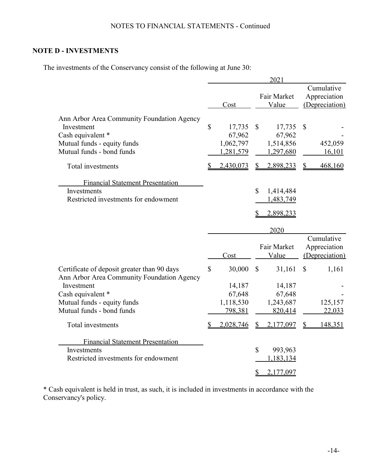# **NOTE D - INVESTMENTS**

The investments of the Conservancy consist of the following at June 30:

|                                                                                                                                           |              |                                            |              | 2021                                       |               |                                              |
|-------------------------------------------------------------------------------------------------------------------------------------------|--------------|--------------------------------------------|--------------|--------------------------------------------|---------------|----------------------------------------------|
|                                                                                                                                           |              | Cost                                       |              | Fair Market<br>Value                       |               | Cumulative<br>Appreciation<br>(Depreciation) |
| Ann Arbor Area Community Foundation Agency<br>Investment<br>Cash equivalent *<br>Mutual funds - equity funds<br>Mutual funds - bond funds | $\mathbb{S}$ | 17,735<br>67,962<br>1,062,797<br>1,281,579 | $\mathbb{S}$ | 17,735<br>67,962<br>1,514,856<br>1,297,680 | $\mathcal{S}$ | 452,059<br>16,101                            |
| Total investments                                                                                                                         | Ÿ.           | 2,430,073                                  | S.           | 2,898,233                                  | \$            | 468,160                                      |
| <b>Financial Statement Presentation</b><br>Investments<br>Restricted investments for endowment                                            |              |                                            | \$           | 1,414,484<br>1,483,749<br>2,898,233        |               |                                              |
|                                                                                                                                           |              |                                            |              | 2020                                       |               |                                              |
|                                                                                                                                           |              | Cost                                       |              | Fair Market<br>Value                       |               | Cumulative<br>Appreciation<br>(Depreciation) |
| Certificate of deposit greater than 90 days                                                                                               | $\mathbb{S}$ | 30,000                                     | $\mathbb{S}$ | 31,161                                     | \$            | 1,161                                        |
| Ann Arbor Area Community Foundation Agency<br>Investment<br>Cash equivalent *<br>Mutual funds - equity funds<br>Mutual funds - bond funds |              | 14,187<br>67,648<br>1,118,530<br>798,381   |              | 14,187<br>67,648<br>1,243,687<br>820,414   |               | 125,157<br>22,033                            |
| Total investments                                                                                                                         |              | 2,028,746                                  | \$           | 2,177,097                                  | \$            | 148,351                                      |
| <b>Financial Statement Presentation</b><br>Investments<br>Restricted investments for endowment                                            |              |                                            | \$<br>\$     | 993,963<br>1,183,134<br>2,177,097          |               |                                              |

\* Cash equivalent is held in trust, as such, it is included in investments in accordance with the Conservancy's policy.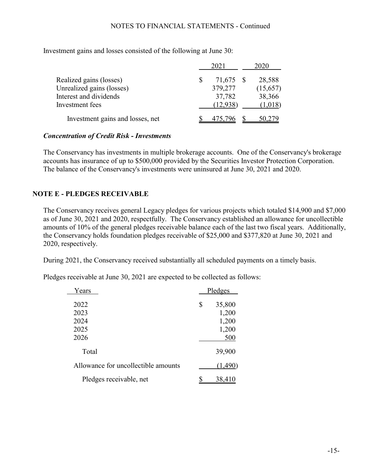|                                  | 2021     | 2020     |
|----------------------------------|----------|----------|
| Realized gains (losses)          | 71,675   | 28,588   |
| Unrealized gains (losses)        | 379,277  | (15,657) |
| Interest and dividends           | 37,782   | 38,366   |
| Investment fees                  | (12,938) | (1,018)  |
| Investment gains and losses, net | 475.796  | 50,279   |

Investment gains and losses consisted of the following at June 30:

#### *Concentration of Credit Risk - Investments*

The Conservancy has investments in multiple brokerage accounts. One of the Conservancy's brokerage accounts has insurance of up to \$500,000 provided by the Securities Investor Protection Corporation. The balance of the Conservancy's investments were uninsured at June 30, 2021 and 2020.

#### **NOTE E - PLEDGES RECEIVABLE**

The Conservancy receives general Legacy pledges for various projects which totaled \$14,900 and \$7,000 as of June 30, 2021 and 2020, respectfully. The Conservancy established an allowance for uncollectible amounts of 10% of the general pledges receivable balance each of the last two fiscal years. Additionally, the Conservancy holds foundation pledges receivable of \$25,000 and \$377,820 at June 30, 2021 and 2020, respectively.

During 2021, the Conservancy received substantially all scheduled payments on a timely basis.

Pledges receivable at June 30, 2021 are expected to be collected as follows:

| Years                                | Pledges                                        |
|--------------------------------------|------------------------------------------------|
| 2022<br>2023<br>2024<br>2025<br>2026 | \$<br>35,800<br>1,200<br>1,200<br>1,200<br>500 |
| Total                                | 39,900                                         |
| Allowance for uncollectible amounts  | (1,490)                                        |
| Pledges receivable, net              | 38,410                                         |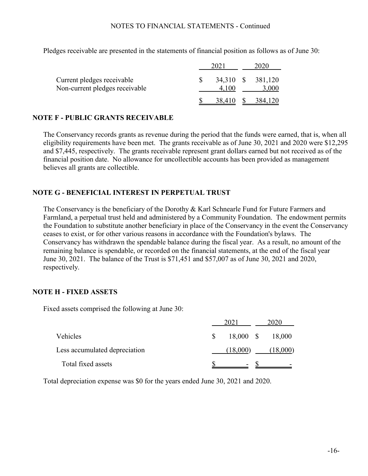Pledges receivable are presented in the statements of financial position as follows as of June 30:

| Current pledges receivable<br>Non-current pledges receivable | 4.100     | 34,310 \$ 381,120<br>3,000 |
|--------------------------------------------------------------|-----------|----------------------------|
|                                                              | 38,410 \$ | 384,120                    |

#### **NOTE F - PUBLIC GRANTS RECEIVABLE**

The Conservancy records grants as revenue during the period that the funds were earned, that is, when all eligibility requirements have been met. The grants receivable as of June 30, 2021 and 2020 were \$12,295 and \$7,445, respectively. The grants receivable represent grant dollars earned but not received as of the financial position date. No allowance for uncollectible accounts has been provided as management believes all grants are collectible.

#### **NOTE G - BENEFICIAL INTEREST IN PERPETUAL TRUST**

The Conservancy is the beneficiary of the Dorothy & Karl Schnearle Fund for Future Farmers and Farmland, a perpetual trust held and administered by a Community Foundation. The endowment permits the Foundation to substitute another beneficiary in place of the Conservancy in the event the Conservancy ceases to exist, or for other various reasons in accordance with the Foundation's bylaws. The Conservancy has withdrawn the spendable balance during the fiscal year. As a result, no amount of the remaining balance is spendable, or recorded on the financial statements, at the end of the fiscal year June 30, 2021. The balance of the Trust is \$71,451 and \$57,007 as of June 30, 2021 and 2020, respectively.

#### **NOTE H - FIXED ASSETS**

Fixed assets comprised the following at June 30:

|                               |              |  | 2020                  |
|-------------------------------|--------------|--|-----------------------|
| Vehicles                      | $\mathbb{S}$ |  | 18,000 \$ 18,000      |
| Less accumulated depreciation |              |  | $(18,000)$ $(18,000)$ |
| Total fixed assets            |              |  | -                     |

Total depreciation expense was \$0 for the years ended June 30, 2021 and 2020.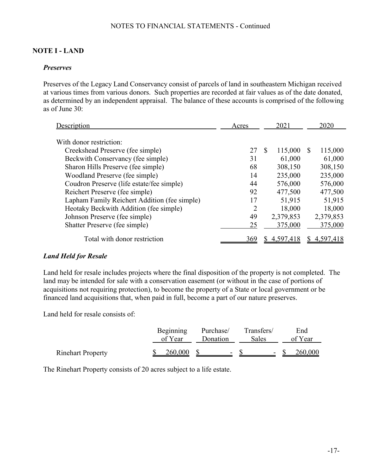#### **NOTE I - LAND**

#### *Preserves*

Preserves of the Legacy Land Conservancy consist of parcels of land in southeastern Michigan received at various times from various donors. Such properties are recorded at fair values as of the date donated, as determined by an independent appraisal. The balance of these accounts is comprised of the following as of June 30:

| Description                                  | Acres | 2021         | 2020         |
|----------------------------------------------|-------|--------------|--------------|
|                                              |       |              |              |
| With donor restriction:                      |       |              |              |
| Creekshead Preserve (fee simple)             | 27    | 115,000<br>S | 115,000<br>S |
| Beckwith Conservancy (fee simple)            | 31    | 61,000       | 61,000       |
| Sharon Hills Preserve (fee simple)           | 68    | 308,150      | 308,150      |
| Woodland Preserve (fee simple)               | 14    | 235,000      | 235,000      |
| Coudron Preserve (life estate/fee simple)    | 44    | 576,000      | 576,000      |
| Reichert Preserve (fee simple)               | 92    | 477,500      | 477,500      |
| Lapham Family Reichert Addition (fee simple) | 17    | 51,915       | 51,915       |
| Heotaky Beckwith Addition (fee simple)       | 2     | 18,000       | 18,000       |
| Johnson Preserve (fee simple)                | 49    | 2,379,853    | 2,379,853    |
| Shatter Preserve (fee simple)                | 25    | 375,000      | 375,000      |
| Total with donor restriction                 | 369   | 4,597,418    | 4,597,418    |

#### *Land Held for Resale*

Land held for resale includes projects where the final disposition of the property is not completed. The land may be intended for sale with a conservation easement (or without in the case of portions of acquisitions not requiring protection), to become the property of a State or local government or be financed land acquisitions that, when paid in full, become a part of our nature preserves.

Land held for resale consists of:

|                          | of Year    | Beginning Purchase/ Transfers/<br>Donation | <b>Sales</b> | End<br>of Year |
|--------------------------|------------|--------------------------------------------|--------------|----------------|
| <b>Rinehart Property</b> | 260,000 \$ | $-$ S                                      |              | $-$ \$ 260,000 |

The Rinehart Property consists of 20 acres subject to a life estate.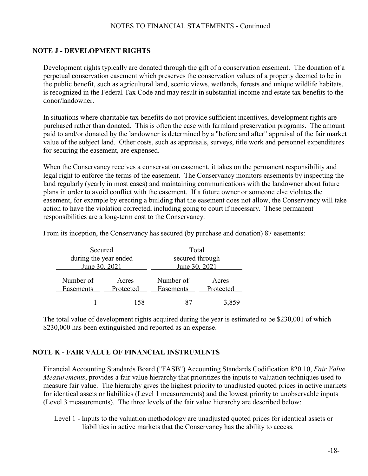### **NOTE J - DEVELOPMENT RIGHTS**

Development rights typically are donated through the gift of a conservation easement. The donation of a perpetual conservation easement which preserves the conservation values of a property deemed to be in the public benefit, such as agricultural land, scenic views, wetlands, forests and unique wildlife habitats, is recognized in the Federal Tax Code and may result in substantial income and estate tax benefits to the donor/landowner.

In situations where charitable tax benefits do not provide sufficient incentives, development rights are purchased rather than donated. This is often the case with farmland preservation programs. The amount paid to and/or donated by the landowner is determined by a "before and after" appraisal of the fair market value of the subject land. Other costs, such as appraisals, surveys, title work and personnel expenditures for securing the easement, are expensed.

When the Conservancy receives a conservation easement, it takes on the permanent responsibility and legal right to enforce the terms of the easement. The Conservancy monitors easements by inspecting the land regularly (yearly in most cases) and maintaining communications with the landowner about future plans in order to avoid conflict with the easement. If a future owner or someone else violates the easement, for example by erecting a building that the easement does not allow, the Conservancy will take action to have the violation corrected, including going to court if necessary. These permanent responsibilities are a long-term cost to the Conservancy.

| Secured                                      |     | Total                  |                    |  |  |
|----------------------------------------------|-----|------------------------|--------------------|--|--|
| during the year ended                        |     | secured through        |                    |  |  |
| June 30, 2021                                |     | June 30, 2021          |                    |  |  |
| Number of<br>Acres<br>Protected<br>Easements |     | Number of<br>Easements | Acres<br>Protected |  |  |
|                                              | 158 |                        | 3,859              |  |  |

From its inception, the Conservancy has secured (by purchase and donation) 87 easements:

The total value of development rights acquired during the year is estimated to be \$230,001 of which \$230,000 has been extinguished and reported as an expense.

#### **NOTE K - FAIR VALUE OF FINANCIAL INSTRUMENTS**

Financial Accounting Standards Board ("FASB") Accounting Standards Codification 820.10, *Fair Value Measurements*, provides a fair value hierarchy that prioritizes the inputs to valuation techniques used to measure fair value. The hierarchy gives the highest priority to unadjusted quoted prices in active markets for identical assets or liabilities (Level 1 measurements) and the lowest priority to unobservable inputs (Level 3 measurements). The three levels of the fair value hierarchy are described below:

Level 1 - Inputs to the valuation methodology are unadjusted quoted prices for identical assets or liabilities in active markets that the Conservancy has the ability to access.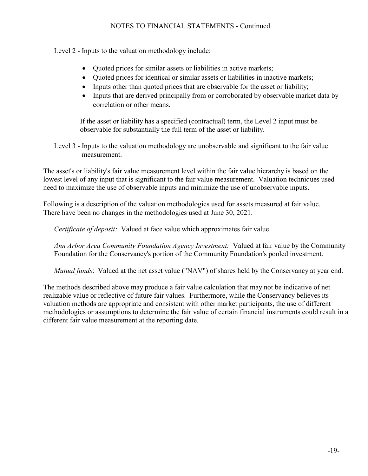Level 2 - Inputs to the valuation methodology include:

- Quoted prices for similar assets or liabilities in active markets;
- Quoted prices for identical or similar assets or liabilities in inactive markets;
- Inputs other than quoted prices that are observable for the asset or liability;
- Inputs that are derived principally from or corroborated by observable market data by correlation or other means.

If the asset or liability has a specified (contractual) term, the Level 2 input must be observable for substantially the full term of the asset or liability.

Level 3 - Inputs to the valuation methodology are unobservable and significant to the fair value measurement.

The asset's or liability's fair value measurement level within the fair value hierarchy is based on the lowest level of any input that is significant to the fair value measurement. Valuation techniques used need to maximize the use of observable inputs and minimize the use of unobservable inputs.

Following is a description of the valuation methodologies used for assets measured at fair value. There have been no changes in the methodologies used at June 30, 2021.

*Certificate of deposit:* Valued at face value which approximates fair value.

*Ann Arbor Area Community Foundation Agency Investment:* Valued at fair value by the Community Foundation for the Conservancy's portion of the Community Foundation's pooled investment.

*Mutual funds*: Valued at the net asset value ("NAV") of shares held by the Conservancy at year end.

The methods described above may produce a fair value calculation that may not be indicative of net realizable value or reflective of future fair values. Furthermore, while the Conservancy believes its valuation methods are appropriate and consistent with other market participants, the use of different methodologies or assumptions to determine the fair value of certain financial instruments could result in a different fair value measurement at the reporting date.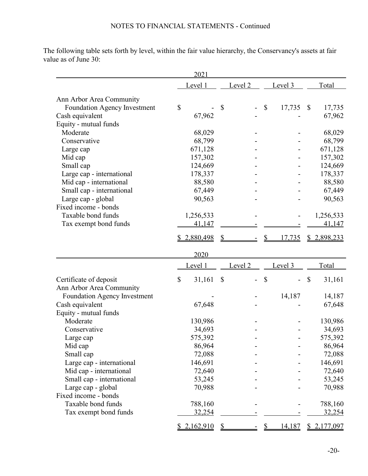|                                     | 2021         |                    |                                |                                     |
|-------------------------------------|--------------|--------------------|--------------------------------|-------------------------------------|
|                                     | Level 1      | Level <sub>2</sub> | Level 3                        | Total                               |
| Ann Arbor Area Community            |              |                    |                                |                                     |
| <b>Foundation Agency Investment</b> | \$           | \$                 | \$<br>17,735                   | $\boldsymbol{\mathsf{S}}$<br>17,735 |
| Cash equivalent                     | 67,962       |                    |                                | 67,962                              |
| Equity - mutual funds               |              |                    |                                |                                     |
| Moderate                            | 68,029       |                    |                                | 68,029                              |
| Conservative                        | 68,799       |                    |                                | 68,799                              |
| Large cap                           | 671,128      |                    |                                | 671,128                             |
| Mid cap                             | 157,302      |                    |                                | 157,302                             |
| Small cap                           | 124,669      |                    |                                | 124,669                             |
| Large cap - international           | 178,337      |                    |                                | 178,337                             |
| Mid cap - international             | 88,580       |                    |                                | 88,580                              |
| Small cap - international           | 67,449       |                    |                                | 67,449                              |
| Large cap - global                  | 90,563       |                    |                                | 90,563                              |
| Fixed income - bonds                |              |                    |                                |                                     |
| Taxable bond funds                  | 1,256,533    |                    |                                | 1,256,533                           |
| Tax exempt bond funds               | 41,147       |                    |                                | 41,147                              |
|                                     | 2,880,498    |                    | 17,735                         | \$2,898,233                         |
|                                     | 2020         |                    |                                |                                     |
|                                     | Level 1      | Level <sub>2</sub> | Level 3                        | Total                               |
| Certificate of deposit              | \$<br>31,161 | \$                 | \$                             | \$<br>31,161                        |
| Ann Arbor Area Community            |              |                    |                                |                                     |
| <b>Foundation Agency Investment</b> |              |                    | 14,187                         | 14,187                              |
| Cash equivalent                     | 67,648       |                    |                                | 67,648                              |
| Equity - mutual funds               |              |                    |                                |                                     |
| Moderate                            | 130,986      |                    |                                | 130,986                             |
| Conservative                        | 34,693       |                    |                                | 34,693                              |
| Large cap                           | 575,392      |                    |                                | 575,392                             |
| Mid cap                             | 86,964       |                    |                                | 86,964                              |
| Small cap                           | 72,088       |                    |                                | 72,088                              |
| Large cap - international           | 146,691      |                    |                                | 146,691                             |
| Mid cap - international             | 72,640       |                    |                                | 72,640                              |
| Small cap - international           | 53,245       |                    |                                | 53,245                              |
| Large cap - global                  | 70,988       |                    |                                | 70,988                              |
| Fixed income - bonds                |              |                    |                                |                                     |
| Taxable bond funds                  | 788,160      |                    |                                | 788,160                             |
| Tax exempt bond funds               | 32,254       |                    |                                | 32,254                              |
|                                     | \$2,162,910  | $\frac{1}{2}$      | $\frac{1}{2}$<br><u>14,187</u> | \$2,177,097                         |

The following table sets forth by level, within the fair value hierarchy, the Conservancy's assets at fair value as of June 30: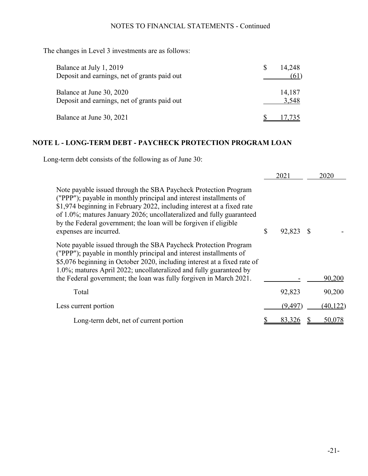The changes in Level 3 investments are as follows:

| Balance at July 1, 2019<br>Deposit and earnings, net of grants paid out  | 14.248          |
|--------------------------------------------------------------------------|-----------------|
| Balance at June 30, 2020<br>Deposit and earnings, net of grants paid out | 14,187<br>3,548 |
| Balance at June 30, 2021                                                 |                 |

# **NOTE L - LONG-TERM DEBT - PAYCHECK PROTECTION PROGRAM LOAN**

Long-term debt consists of the following as of June 30:

|                                                                                                                                                                                                                                                                                                                                                                                       | 2021         | 2020      |
|---------------------------------------------------------------------------------------------------------------------------------------------------------------------------------------------------------------------------------------------------------------------------------------------------------------------------------------------------------------------------------------|--------------|-----------|
| Note payable issued through the SBA Paycheck Protection Program<br>("PPP"); payable in monthly principal and interest installments of<br>\$1,974 beginning in February 2022, including interest at a fixed rate<br>of 1.0%; matures January 2026; uncollateralized and fully guaranteed<br>by the Federal government; the loan will be forgiven if eligible<br>expenses are incurred. | \$<br>92,823 |           |
| Note payable issued through the SBA Paycheck Protection Program<br>("PPP"); payable in monthly principal and interest installments of<br>\$5,076 beginning in October 2020, including interest at a fixed rate of<br>1.0%; matures April 2022; uncollateralized and fully guaranteed by<br>the Federal government; the loan was fully forgiven in March 2021.                         |              | 90,200    |
| Total                                                                                                                                                                                                                                                                                                                                                                                 | 92,823       | 90,200    |
| Less current portion                                                                                                                                                                                                                                                                                                                                                                  | (9,497       | (40, 122) |
| Long-term debt, net of current portion                                                                                                                                                                                                                                                                                                                                                | 83.32        | 50.078    |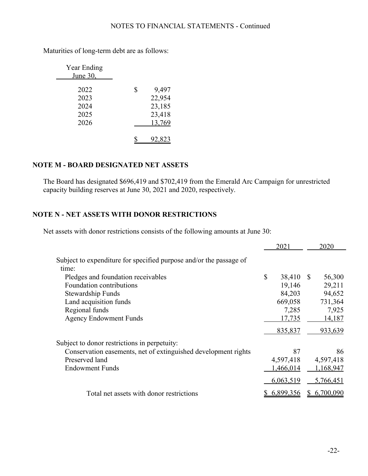| Year Ending<br>June 30, |   |        |
|-------------------------|---|--------|
| 2022                    | S | 9,497  |
| 2023                    |   | 22,954 |
| 2024                    |   | 23,185 |
| 2025                    |   | 23,418 |
| 2026                    |   | 13,769 |
|                         |   |        |
|                         |   |        |

Maturities of long-term debt are as follows:

## **NOTE M - BOARD DESIGNATED NET ASSETS**

The Board has designated \$696,419 and \$702,419 from the Emerald Arc Campaign for unrestricted capacity building reserves at June 30, 2021 and 2020, respectively.

## **NOTE N - NET ASSETS WITH DONOR RESTRICTIONS**

Net assets with donor restrictions consists of the following amounts at June 30:

|                                                                    | 2021         |              | 2020      |
|--------------------------------------------------------------------|--------------|--------------|-----------|
| Subject to expenditure for specified purpose and/or the passage of |              |              |           |
| time:                                                              |              |              |           |
| Pledges and foundation receivables                                 | \$<br>38,410 | <sup>S</sup> | 56,300    |
| Foundation contributions                                           | 19,146       |              | 29,211    |
| Stewardship Funds                                                  | 84,203       |              | 94,652    |
| Land acquisition funds                                             | 669,058      |              | 731,364   |
| Regional funds                                                     | 7,285        |              | 7,925     |
| <b>Agency Endowment Funds</b>                                      | 17,735       |              | 14,187    |
|                                                                    | 835,837      |              | 933,639   |
| Subject to donor restrictions in perpetuity:                       |              |              |           |
| Conservation easements, net of extinguished development rights     | 87           |              | 86        |
| Preserved land                                                     | 4,597,418    |              | 4,597,418 |
| <b>Endowment Funds</b>                                             | 1,466,014    |              | 1,168,947 |
|                                                                    | 6,063,519    |              | 5,766,451 |
| Total net assets with donor restrictions                           | 6,899,356    | S            | 6,700,090 |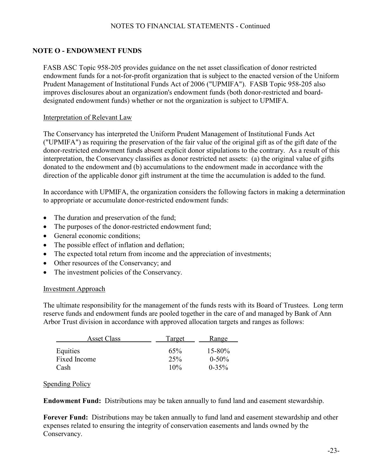## **NOTE O - ENDOWMENT FUNDS**

FASB ASC Topic 958-205 provides guidance on the net asset classification of donor restricted endowment funds for a not-for-profit organization that is subject to the enacted version of the Uniform Prudent Management of Institutional Funds Act of 2006 ("UPMIFA"). FASB Topic 958-205 also improves disclosures about an organization's endowment funds (both donor-restricted and boarddesignated endowment funds) whether or not the organization is subject to UPMIFA.

#### Interpretation of Relevant Law

The Conservancy has interpreted the Uniform Prudent Management of Institutional Funds Act ("UPMIFA") as requiring the preservation of the fair value of the original gift as of the gift date of the donor-restricted endowment funds absent explicit donor stipulations to the contrary. As a result of this interpretation, the Conservancy classifies as donor restricted net assets: (a) the original value of gifts donated to the endowment and (b) accumulations to the endowment made in accordance with the direction of the applicable donor gift instrument at the time the accumulation is added to the fund.

In accordance with UPMIFA, the organization considers the following factors in making a determination to appropriate or accumulate donor-restricted endowment funds:

- The duration and preservation of the fund;
- The purposes of the donor-restricted endowment fund;
- General economic conditions;
- The possible effect of inflation and deflation;
- The expected total return from income and the appreciation of investments;
- Other resources of the Conservancy; and
- The investment policies of the Conservancy.

#### Investment Approach

The ultimate responsibility for the management of the funds rests with its Board of Trustees. Long term reserve funds and endowment funds are pooled together in the care of and managed by Bank of Ann Arbor Trust division in accordance with approved allocation targets and ranges as follows:

| <b>Asset Class</b> | Target | Range       |
|--------------------|--------|-------------|
| Equities           | 65%    | $15 - 80\%$ |
| Fixed Income       | 25%    | $0-50\%$    |
| Cash               | 10%    | $0 - 35\%$  |

#### Spending Policy

**Endowment Fund:** Distributions may be taken annually to fund land and easement stewardship.

**Forever Fund:** Distributions may be taken annually to fund land and easement stewardship and other expenses related to ensuring the integrity of conservation easements and lands owned by the Conservancy.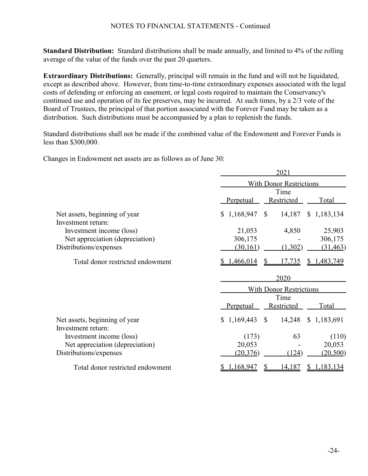**Standard Distribution:** Standard distributions shall be made annually, and limited to 4% of the rolling average of the value of the funds over the past 20 quarters.

**Extraordinary Distributions:** Generally, principal will remain in the fund and will not be liquidated, except as described above. However, from time-to-time extraordinary expenses associated with the legal costs of defending or enforcing an easement, or legal costs required to maintain the Conservancy's continued use and operation of its fee preserves, may be incurred. At such times, by a 2/3 vote of the Board of Trustees, the principal of that portion associated with the Forever Fund may be taken as a distribution. Such distributions must be accompanied by a plan to replenish the funds.

Standard distributions shall not be made if the combined value of the Endowment and Forever Funds is less than \$300,000.

Changes in Endowment net assets are as follows as of June 30:

|                                  | 2021                                                     |  |  |  |  |
|----------------------------------|----------------------------------------------------------|--|--|--|--|
|                                  | <b>With Donor Restrictions</b>                           |  |  |  |  |
|                                  | Time                                                     |  |  |  |  |
|                                  | Restricted<br><u>Perpetual</u><br>Total                  |  |  |  |  |
| Net assets, beginning of year    | 1,168,947<br>$\mathbb{S}$<br>14,187<br>\$1,183,134<br>S. |  |  |  |  |
| Investment return:               |                                                          |  |  |  |  |
| Investment income (loss)         | 4,850<br>21,053<br>25,903                                |  |  |  |  |
| Net appreciation (depreciation)  | 306,175<br>306,175                                       |  |  |  |  |
| Distributions/expenses           | (31, 463)<br>(30, 161)<br>(1,302)                        |  |  |  |  |
| Total donor restricted endowment | <u>17,735</u><br><u>1,466,014</u><br>1,483,749<br>S.     |  |  |  |  |
|                                  | 2020                                                     |  |  |  |  |
|                                  | <b>With Donor Restrictions</b>                           |  |  |  |  |
|                                  | Time                                                     |  |  |  |  |
|                                  | Restricted<br>Total<br><u>Perpetual</u>                  |  |  |  |  |
| Net assets, beginning of year    | \$1,169,443<br>14,248<br><sup>\$</sup><br>\$1,183,691    |  |  |  |  |
| Investment return:               |                                                          |  |  |  |  |
| Investment income (loss)         | 63<br>(173)<br>(110)                                     |  |  |  |  |
| Net appreciation (depreciation)  | 20,053<br>20,053                                         |  |  |  |  |
| Distributions/expenses           | (20,376)<br>(124)<br>(20, 500)                           |  |  |  |  |
| Total donor restricted endowment | 1,168,947<br>14,187<br>1,183,134                         |  |  |  |  |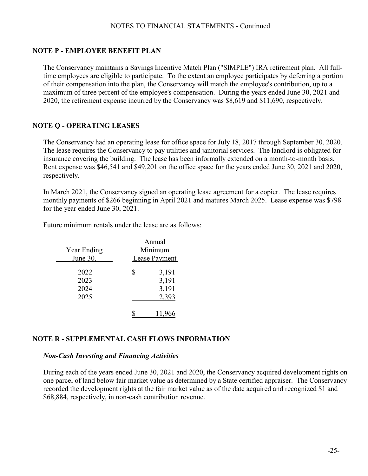#### **NOTE P - EMPLOYEE BENEFIT PLAN**

The Conservancy maintains a Savings Incentive Match Plan ("SIMPLE") IRA retirement plan. All fulltime employees are eligible to participate. To the extent an employee participates by deferring a portion of their compensation into the plan, the Conservancy will match the employee's contribution, up to a maximum of three percent of the employee's compensation. During the years ended June 30, 2021 and 2020, the retirement expense incurred by the Conservancy was \$8,619 and \$11,690, respectively.

### **NOTE Q - OPERATING LEASES**

The Conservancy had an operating lease for office space for July 18, 2017 through September 30, 2020. The lease requires the Conservancy to pay utilities and janitorial services. The landlord is obligated for insurance covering the building. The lease has been informally extended on a month-to-month basis. Rent expense was \$46,541 and \$49,201 on the office space for the years ended June 30, 2021 and 2020, respectively.

In March 2021, the Conservancy signed an operating lease agreement for a copier. The lease requires monthly payments of \$266 beginning in April 2021 and matures March 2025. Lease expense was \$798 for the year ended June 30, 2021.

Future minimum rentals under the lease are as follows:

| Year Ending<br>June 30,      | Annual<br>Minimum<br>Lease Payment |                                  |
|------------------------------|------------------------------------|----------------------------------|
| 2022<br>2023<br>2024<br>2025 | S                                  | 3,191<br>3,191<br>3,191<br>2,393 |
|                              |                                    | 11.9                             |

### **NOTE R - SUPPLEMENTAL CASH FLOWS INFORMATION**

#### *Non-Cash Investing and Financing Activities*

During each of the years ended June 30, 2021 and 2020, the Conservancy acquired development rights on one parcel of land below fair market value as determined by a State certified appraiser. The Conservancy recorded the development rights at the fair market value as of the date acquired and recognized \$1 and \$68,884, respectively, in non-cash contribution revenue.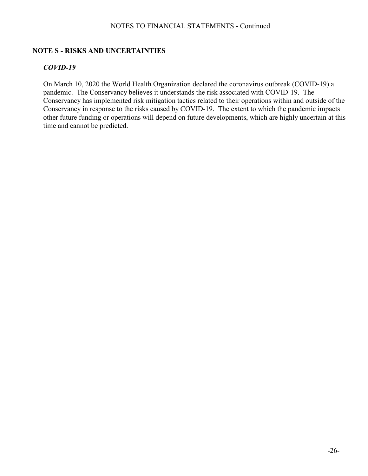## **NOTE S - RISKS AND UNCERTAINTIES**

## *COVID-19*

On March 10, 2020 the World Health Organization declared the coronavirus outbreak (COVID-19) a pandemic. The Conservancy believes it understands the risk associated with COVID-19. The Conservancy has implemented risk mitigation tactics related to their operations within and outside of the Conservancy in response to the risks caused by COVID-19. The extent to which the pandemic impacts other future funding or operations will depend on future developments, which are highly uncertain at this time and cannot be predicted.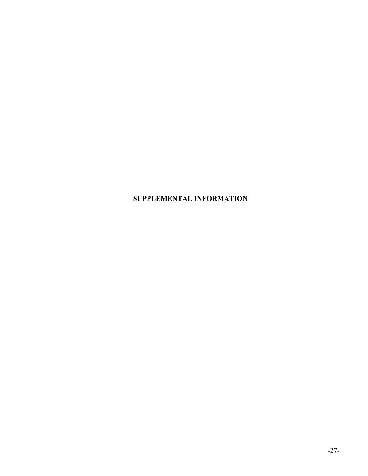# **SUPPLEMENTAL INFORMATION**